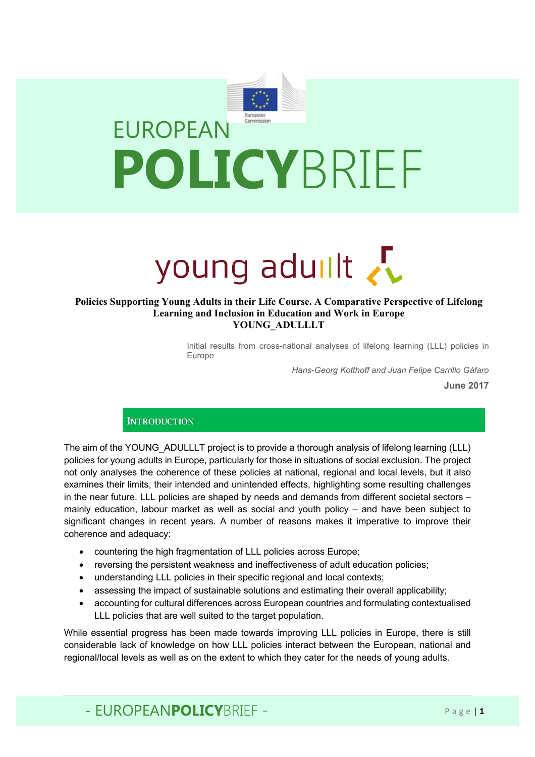

# young aduilt

### **Policies Supporting Young Adults in their Life Course. A Comparative Perspective of Lifelong Learning and Inclusion in Education and Work in Europe YOUNG\_ADULLLT**

Initial results from cross-national analyses of lifelong learning (LLL) policies in Europe

*Hans-Georg Kotthoff and Juan Felipe Carrillo Gáfaro*

**June 2017**

## **INTRODUCTION**

The aim of the YOUNG ADULLLT project is to provide a thorough analysis of lifelong learning (LLL) policies for young adults in Europe, particularly for those in situations of social exclusion. The project not only analyses the coherence of these policies at national, regional and local levels, but it also examines their limits, their intended and unintended effects, highlighting some resulting challenges in the near future. LLL policies are shaped by needs and demands from different societal sectors – mainly education, labour market as well as social and youth policy – and have been subject to significant changes in recent years. A number of reasons makes it imperative to improve their coherence and adequacy:

- countering the high fragmentation of LLL policies across Europe;
- reversing the persistent weakness and ineffectiveness of adult education policies;
- understanding LLL policies in their specific regional and local contexts;
- assessing the impact of sustainable solutions and estimating their overall applicability;
- accounting for cultural differences across European countries and formulating contextualised LLL policies that are well suited to the target population.

While essential progress has been made towards improving LLL policies in Europe, there is still considerable lack of knowledge on how LLL policies interact between the European, national and regional/local levels as well as on the extent to which they cater for the needs of young adults.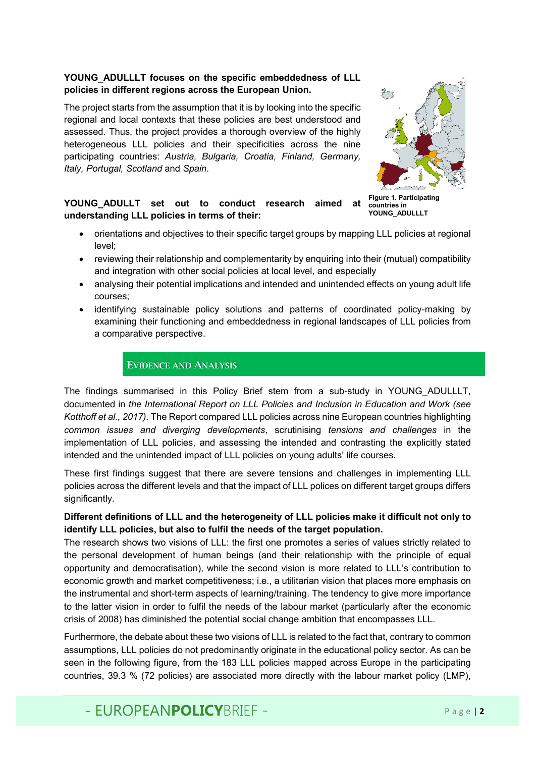## **YOUNG\_ADULLLT focuses on the specific embeddedness of LLL policies in different regions across the European Union.**

The project starts from the assumption that it is by looking into the specific regional and local contexts that these policies are best understood and assessed. Thus, the project provides a thorough overview of the highly heterogeneous LLL policies and their specificities across the nine participating countries: *Austria, Bulgaria, Croatia, Finland, Germany, Italy, Portugal, Scotland* and *Spain*.



**Figure 1. Participating countries in YOUNG\_ADULLLT**

# **YOUNG\_ADULLT set out to conduct research aimed at understanding LLL policies in terms of their:**

- orientations and objectives to their specific target groups by mapping LLL policies at regional level;
- reviewing their relationship and complementarity by enquiring into their (mutual) compatibility and integration with other social policies at local level, and especially
- analysing their potential implications and intended and unintended effects on young adult life courses;
- identifying sustainable policy solutions and patterns of coordinated policy-making by examining their functioning and embeddedness in regional landscapes of LLL policies from a comparative perspective.

# EVIDENCE AND ANALYSIS

The findings summarised in this Policy Brief stem from a sub-study in YOUNG\_ADULLLT, documented in *the International Report on LLL Policies and Inclusion in Education and Work (see Kotthoff et al., 2017).* The Report compared LLL policies across nine European countries highlighting *common issues and diverging developments*, scrutinising *tensions and challenges* in the implementation of LLL policies, and assessing the intended and contrasting the explicitly stated intended and the unintended impact of LLL policies on young adults' life courses.

These first findings suggest that there are severe tensions and challenges in implementing LLL policies across the different levels and that the impact of LLL polices on different target groups differs significantly.

# **Different definitions of LLL and the heterogeneity of LLL policies make it difficult not only to identify LLL policies, but also to fulfil the needs of the target population.**

The research shows two visions of LLL: the first one promotes a series of values strictly related to the personal development of human beings (and their relationship with the principle of equal opportunity and democratisation), while the second vision is more related to LLL's contribution to economic growth and market competitiveness; i.e., a utilitarian vision that places more emphasis on the instrumental and short-term aspects of learning/training. The tendency to give more importance to the latter vision in order to fulfil the needs of the labour market (particularly after the economic crisis of 2008) has diminished the potential social change ambition that encompasses LLL.

Furthermore, the debate about these two visions of LLL is related to the fact that, contrary to common assumptions, LLL policies do not predominantly originate in the educational policy sector. As can be seen in the following figure, from the 183 LLL policies mapped across Europe in the participating countries, 39.3 % (72 policies) are associated more directly with the labour market policy (LMP),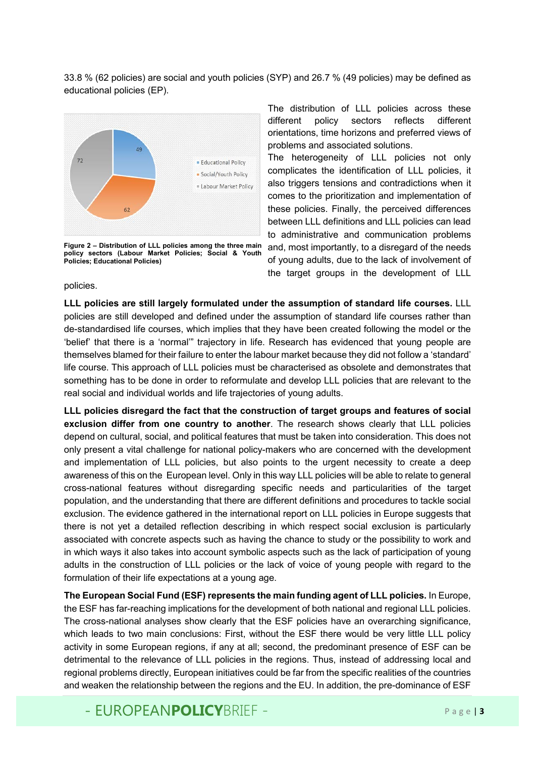33.8 % (62 policies) are social and youth policies (SYP) and 26.7 % (49 policies) may be defined as educational policies (EP).



**Figure 2 – Distribution of LLL policies among the three main policy sectors (Labour Market Policies; Social & Youth Policies; Educational Policies)**

The distribution of LLL policies across these different policy sectors reflects different orientations, time horizons and preferred views of problems and associated solutions.

The heterogeneity of LLL policies not only complicates the identification of LLL policies, it also triggers tensions and contradictions when it comes to the prioritization and implementation of these policies. Finally, the perceived differences between LLL definitions and LLL policies can lead to administrative and communication problems and, most importantly, to a disregard of the needs of young adults, due to the lack of involvement of the target groups in the development of LLL

#### policies.

**LLL policies are still largely formulated under the assumption of standard life courses.** LLL policies are still developed and defined under the assumption of standard life courses rather than de-standardised life courses, which implies that they have been created following the model or the 'belief' that there is a 'normal'" trajectory in life. Research has evidenced that young people are themselves blamed for their failure to enter the labour market because they did not follow a 'standard' life course. This approach of LLL policies must be characterised as obsolete and demonstrates that something has to be done in order to reformulate and develop LLL policies that are relevant to the real social and individual worlds and life trajectories of young adults.

**LLL policies disregard the fact that the construction of target groups and features of social exclusion differ from one country to another**. The research shows clearly that LLL policies depend on cultural, social, and political features that must be taken into consideration. This does not only present a vital challenge for national policy-makers who are concerned with the development and implementation of LLL policies, but also points to the urgent necessity to create a deep awareness of this on the European level. Only in this way LLL policies will be able to relate to general cross-national features without disregarding specific needs and particularities of the target population, and the understanding that there are different definitions and procedures to tackle social exclusion. The evidence gathered in the international report on LLL policies in Europe suggests that there is not yet a detailed reflection describing in which respect social exclusion is particularly associated with concrete aspects such as having the chance to study or the possibility to work and in which ways it also takes into account symbolic aspects such as the lack of participation of young adults in the construction of LLL policies or the lack of voice of young people with regard to the formulation of their life expectations at a young age.

**The European Social Fund (ESF) represents the main funding agent of LLL policies.** In Europe, the ESF has far-reaching implications for the development of both national and regional LLL policies. The cross-national analyses show clearly that the ESF policies have an overarching significance, which leads to two main conclusions: First, without the ESF there would be very little LLL policy activity in some European regions, if any at all; second, the predominant presence of ESF can be detrimental to the relevance of LLL policies in the regions. Thus, instead of addressing local and regional problems directly, European initiatives could be far from the specific realities of the countries and weaken the relationship between the regions and the EU. In addition, the pre-dominance of ESF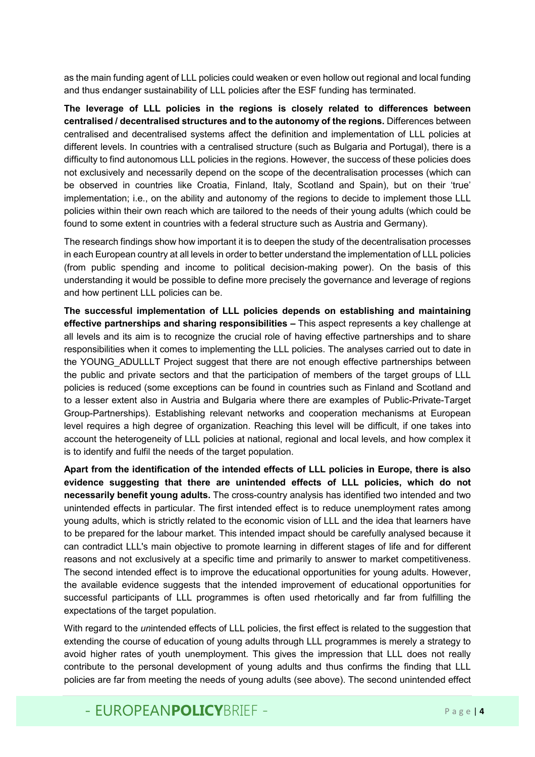as the main funding agent of LLL policies could weaken or even hollow out regional and local funding and thus endanger sustainability of LLL policies after the ESF funding has terminated.

**The leverage of LLL policies in the regions is closely related to differences between centralised / decentralised structures and to the autonomy of the regions.** Differences between centralised and decentralised systems affect the definition and implementation of LLL policies at different levels. In countries with a centralised structure (such as Bulgaria and Portugal), there is a difficulty to find autonomous LLL policies in the regions. However, the success of these policies does not exclusively and necessarily depend on the scope of the decentralisation processes (which can be observed in countries like Croatia, Finland, Italy, Scotland and Spain), but on their 'true' implementation; i.e., on the ability and autonomy of the regions to decide to implement those LLL policies within their own reach which are tailored to the needs of their young adults (which could be found to some extent in countries with a federal structure such as Austria and Germany).

The research findings show how important it is to deepen the study of the decentralisation processes in each European country at all levels in order to better understand the implementation of LLL policies (from public spending and income to political decision-making power). On the basis of this understanding it would be possible to define more precisely the governance and leverage of regions and how pertinent LLL policies can be.

**The successful implementation of LLL policies depends on establishing and maintaining effective partnerships and sharing responsibilities –** This aspect represents a key challenge at all levels and its aim is to recognize the crucial role of having effective partnerships and to share responsibilities when it comes to implementing the LLL policies. The analyses carried out to date in the YOUNG ADULLLT Project suggest that there are not enough effective partnerships between the public and private sectors and that the participation of members of the target groups of LLL policies is reduced (some exceptions can be found in countries such as Finland and Scotland and to a lesser extent also in Austria and Bulgaria where there are examples of Public-Private-Target Group-Partnerships). Establishing relevant networks and cooperation mechanisms at European level requires a high degree of organization. Reaching this level will be difficult, if one takes into account the heterogeneity of LLL policies at national, regional and local levels, and how complex it is to identify and fulfil the needs of the target population.

**Apart from the identification of the intended effects of LLL policies in Europe, there is also evidence suggesting that there are unintended effects of LLL policies, which do not necessarily benefit young adults.** The cross-country analysis has identified two intended and two unintended effects in particular. The first intended effect is to reduce unemployment rates among young adults, which is strictly related to the economic vision of LLL and the idea that learners have to be prepared for the labour market. This intended impact should be carefully analysed because it can contradict LLL's main objective to promote learning in different stages of life and for different reasons and not exclusively at a specific time and primarily to answer to market competitiveness. The second intended effect is to improve the educational opportunities for young adults. However, the available evidence suggests that the intended improvement of educational opportunities for successful participants of LLL programmes is often used rhetorically and far from fulfilling the expectations of the target population.

With regard to the *un*intended effects of LLL policies, the first effect is related to the suggestion that extending the course of education of young adults through LLL programmes is merely a strategy to avoid higher rates of youth unemployment. This gives the impression that LLL does not really contribute to the personal development of young adults and thus confirms the finding that LLL policies are far from meeting the needs of young adults (see above). The second unintended effect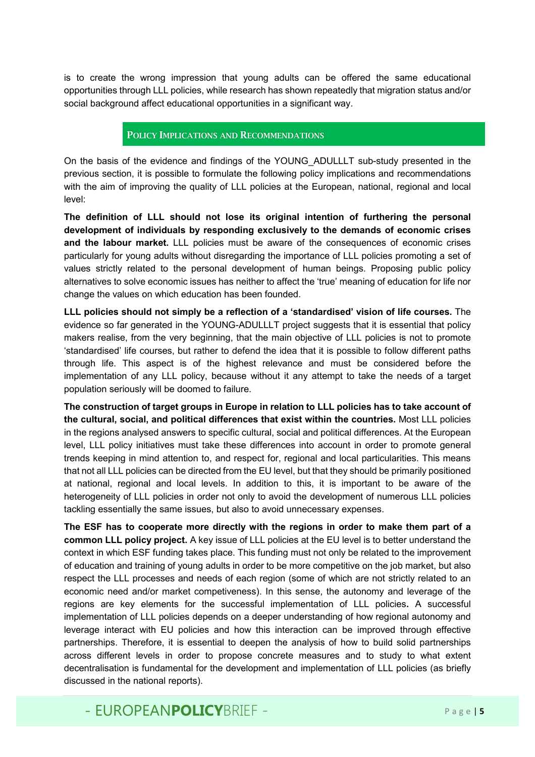is to create the wrong impression that young adults can be offered the same educational opportunities through LLL policies, while research has shown repeatedly that migration status and/or social background affect educational opportunities in a significant way.

## POLICY IMPLICATIONS AND RECOMMENDATIONS

On the basis of the evidence and findings of the YOUNG\_ADULLLT sub-study presented in the previous section, it is possible to formulate the following policy implications and recommendations with the aim of improving the quality of LLL policies at the European, national, regional and local level:

**The definition of LLL should not lose its original intention of furthering the personal development of individuals by responding exclusively to the demands of economic crises and the labour market.** LLL policies must be aware of the consequences of economic crises particularly for young adults without disregarding the importance of LLL policies promoting a set of values strictly related to the personal development of human beings. Proposing public policy alternatives to solve economic issues has neither to affect the 'true' meaning of education for life nor change the values on which education has been founded.

**LLL policies should not simply be a reflection of a 'standardised' vision of life courses.** The evidence so far generated in the YOUNG-ADULLLT project suggests that it is essential that policy makers realise, from the very beginning, that the main objective of LLL policies is not to promote 'standardised' life courses, but rather to defend the idea that it is possible to follow different paths through life. This aspect is of the highest relevance and must be considered before the implementation of any LLL policy, because without it any attempt to take the needs of a target population seriously will be doomed to failure.

**The construction of target groups in Europe in relation to LLL policies has to take account of the cultural, social, and political differences that exist within the countries.** Most LLL policies in the regions analysed answers to specific cultural, social and political differences. At the European level, LLL policy initiatives must take these differences into account in order to promote general trends keeping in mind attention to, and respect for, regional and local particularities. This means that not all LLL policies can be directed from the EU level, but that they should be primarily positioned at national, regional and local levels. In addition to this, it is important to be aware of the heterogeneity of LLL policies in order not only to avoid the development of numerous LLL policies tackling essentially the same issues, but also to avoid unnecessary expenses.

**The ESF has to cooperate more directly with the regions in order to make them part of a common LLL policy project.** A key issue of LLL policies at the EU level is to better understand the context in which ESF funding takes place. This funding must not only be related to the improvement of education and training of young adults in order to be more competitive on the job market, but also respect the LLL processes and needs of each region (some of which are not strictly related to an economic need and/or market competiveness). In this sense, the autonomy and leverage of the regions are key elements for the successful implementation of LLL policies**.** A successful implementation of LLL policies depends on a deeper understanding of how regional autonomy and leverage interact with EU policies and how this interaction can be improved through effective partnerships. Therefore, it is essential to deepen the analysis of how to build solid partnerships across different levels in order to propose concrete measures and to study to what extent decentralisation is fundamental for the development and implementation of LLL policies (as briefly discussed in the national reports).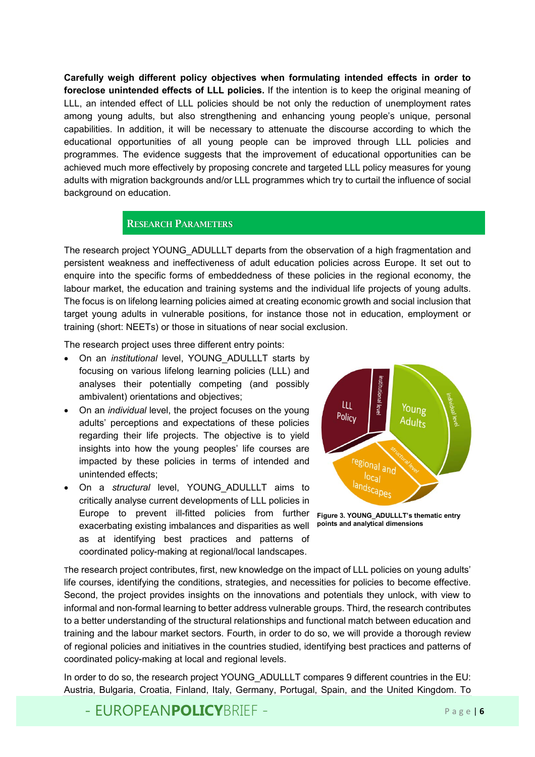**Carefully weigh different policy objectives when formulating intended effects in order to foreclose unintended effects of LLL policies.** If the intention is to keep the original meaning of LLL, an intended effect of LLL policies should be not only the reduction of unemployment rates among young adults, but also strengthening and enhancing young people's unique, personal capabilities. In addition, it will be necessary to attenuate the discourse according to which the educational opportunities of all young people can be improved through LLL policies and programmes. The evidence suggests that the improvement of educational opportunities can be achieved much more effectively by proposing concrete and targeted LLL policy measures for young adults with migration backgrounds and/or LLL programmes which try to curtail the influence of social background on education.

# RESEARCH PARAMETERS

The research project YOUNG ADULLLT departs from the observation of a high fragmentation and persistent weakness and ineffectiveness of adult education policies across Europe. It set out to enquire into the specific forms of embeddedness of these policies in the regional economy, the labour market, the education and training systems and the individual life projects of young adults. The focus is on lifelong learning policies aimed at creating economic growth and social inclusion that target young adults in vulnerable positions, for instance those not in education, employment or training (short: NEETs) or those in situations of near social exclusion.

The research project uses three different entry points:

- On an *institutional* level, YOUNG\_ADULLLT starts by focusing on various lifelong learning policies (LLL) and analyses their potentially competing (and possibly ambivalent) orientations and objectives;
- On an *individual* level, the project focuses on the young adults' perceptions and expectations of these policies regarding their life projects. The objective is to yield insights into how the young peoples' life courses are impacted by these policies in terms of intended and unintended effects;
- On a *structural* level, YOUNG\_ADULLLT aims to critically analyse current developments of LLL policies in Europe to prevent ill-fitted policies from further exacerbating existing imbalances and disparities as well as at identifying best practices and patterns of coordinated policy-making at regional/local landscapes.



**Figure 3. YOUNG\_ADULLLT's thematic entry points and analytical dimensions**

The research project contributes, first, new knowledge on the impact of LLL policies on young adults' life courses, identifying the conditions, strategies, and necessities for policies to become effective. Second, the project provides insights on the innovations and potentials they unlock, with view to informal and non-formal learning to better address vulnerable groups. Third, the research contributes to a better understanding of the structural relationships and functional match between education and training and the labour market sectors. Fourth, in order to do so, we will provide a thorough review of regional policies and initiatives in the countries studied, identifying best practices and patterns of coordinated policy-making at local and regional levels.

In order to do so, the research project YOUNG ADULLLT compares 9 different countries in the EU: Austria, Bulgaria, Croatia, Finland, Italy, Germany, Portugal, Spain, and the United Kingdom. To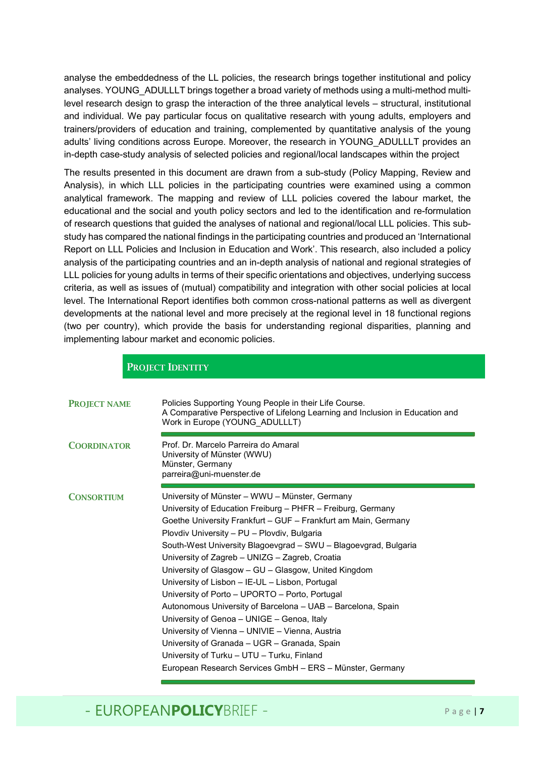analyse the embeddedness of the LL policies, the research brings together institutional and policy analyses. YOUNG ADULLLT brings together a broad variety of methods using a multi-method multilevel research design to grasp the interaction of the three analytical levels – structural, institutional and individual. We pay particular focus on qualitative research with young adults, employers and trainers/providers of education and training, complemented by quantitative analysis of the young adults' living conditions across Europe. Moreover, the research in YOUNG\_ADULLLT provides an in-depth case-study analysis of selected policies and regional/local landscapes within the project

The results presented in this document are drawn from a sub-study (Policy Mapping, Review and Analysis), in which LLL policies in the participating countries were examined using a common analytical framework. The mapping and review of LLL policies covered the labour market, the educational and the social and youth policy sectors and led to the identification and re-formulation of research questions that guided the analyses of national and regional/local LLL policies. This substudy has compared the national findings in the participating countries and produced an 'International Report on LLL Policies and Inclusion in Education and Work'. This research, also included a policy analysis of the participating countries and an in-depth analysis of national and regional strategies of LLL policies for young adults in terms of their specific orientations and objectives, underlying success criteria, as well as issues of (mutual) compatibility and integration with other social policies at local level. The International Report identifies both common cross-national patterns as well as divergent developments at the national level and more precisely at the regional level in 18 functional regions (two per country), which provide the basis for understanding regional disparities, planning and implementing labour market and economic policies.

|                     | <b>PROJECT IDENTITY</b>                                                                                                                                                                                                                                                                                                                                                                                                                                                                                                                                                                                                                                                                                                                                                                                                                    |
|---------------------|--------------------------------------------------------------------------------------------------------------------------------------------------------------------------------------------------------------------------------------------------------------------------------------------------------------------------------------------------------------------------------------------------------------------------------------------------------------------------------------------------------------------------------------------------------------------------------------------------------------------------------------------------------------------------------------------------------------------------------------------------------------------------------------------------------------------------------------------|
| <b>PROJECT NAME</b> | Policies Supporting Young People in their Life Course.<br>A Comparative Perspective of Lifelong Learning and Inclusion in Education and<br>Work in Europe (YOUNG ADULLLT)                                                                                                                                                                                                                                                                                                                                                                                                                                                                                                                                                                                                                                                                  |
| <b>COORDINATOR</b>  | Prof. Dr. Marcelo Parreira do Amaral<br>University of Münster (WWU)<br>Münster, Germany<br>parreira@uni-muenster.de                                                                                                                                                                                                                                                                                                                                                                                                                                                                                                                                                                                                                                                                                                                        |
| <b>CONSORTIUM</b>   | University of Münster - WWU - Münster, Germany<br>University of Education Freiburg - PHFR - Freiburg, Germany<br>Goethe University Frankfurt - GUF - Frankfurt am Main, Germany<br>Plovdiv University - PU - Plovdiv, Bulgaria<br>South-West University Blagoevgrad - SWU - Blagoevgrad, Bulgaria<br>University of Zagreb - UNIZG - Zagreb, Croatia<br>University of Glasgow - GU - Glasgow, United Kingdom<br>University of Lisbon - IE-UL - Lisbon, Portugal<br>University of Porto – UPORTO – Porto, Portugal<br>Autonomous University of Barcelona – UAB – Barcelona, Spain<br>University of Genoa - UNIGE - Genoa, Italy<br>University of Vienna – UNIVIE – Vienna, Austria<br>University of Granada - UGR - Granada, Spain<br>University of Turku - UTU - Turku, Finland<br>European Research Services GmbH - ERS - Münster, Germany |